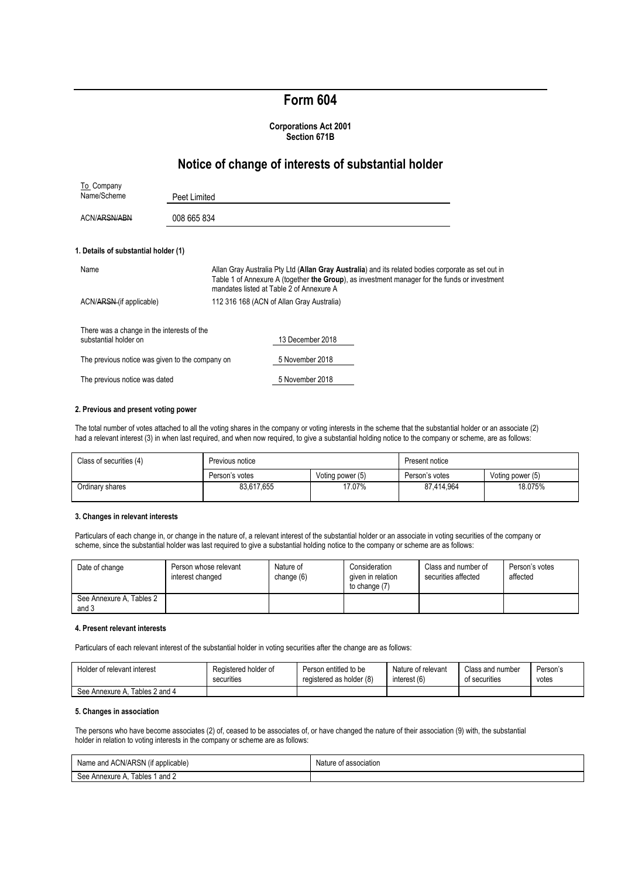# **Form 604**

#### **Corporations Act 2001 Section 671B**

## **Notice of change of interests of substantial holder**

| To Company                                                          |              |                                                                                                                                                                                                                                                 |  |
|---------------------------------------------------------------------|--------------|-------------------------------------------------------------------------------------------------------------------------------------------------------------------------------------------------------------------------------------------------|--|
| Name/Scheme                                                         | Peet Limited |                                                                                                                                                                                                                                                 |  |
| ACN/ARSN/ABN                                                        | 008 665 834  |                                                                                                                                                                                                                                                 |  |
| 1. Details of substantial holder (1)                                |              |                                                                                                                                                                                                                                                 |  |
| Name                                                                |              | Allan Gray Australia Pty Ltd (Allan Gray Australia) and its related bodies corporate as set out in<br>Table 1 of Annexure A (together the Group), as investment manager for the funds or investment<br>mandates listed at Table 2 of Annexure A |  |
| ACN/ARSN (if applicable)                                            |              | 112 316 168 (ACN of Allan Gray Australia)                                                                                                                                                                                                       |  |
| There was a change in the interests of the<br>substantial holder on |              | 13 December 2018                                                                                                                                                                                                                                |  |
| The previous notice was given to the company on                     |              | 5 November 2018                                                                                                                                                                                                                                 |  |
| The previous notice was dated                                       |              | 5 November 2018                                                                                                                                                                                                                                 |  |

#### **2. Previous and present voting power**

The total number of votes attached to all the voting shares in the company or voting interests in the scheme that the substantial holder or an associate (2) had a relevant interest (3) in when last required, and when now required, to give a substantial holding notice to the company or scheme, are as follows:

| Class of securities (4) | Previous notice |                  | Present notice |                  |
|-------------------------|-----------------|------------------|----------------|------------------|
|                         | Person's votes  | Voting power (5) | Person's votes | Voting power (5) |
| Ordinary shares         | 83.617.655      | 17.07%           | 87,414,964     | 18.075%          |

#### **3. Changes in relevant interests**

Particulars of each change in, or change in the nature of, a relevant interest of the substantial holder or an associate in voting securities of the company or scheme, since the substantial holder was last required to give a substantial holding notice to the company or scheme are as follows:

| Date of change                    | Person whose relevant<br>interest changed | Nature of<br>change (6) | Consideration<br>given in relation<br>to change (7) | Class and number of<br>securities affected | Person's votes<br>affected |
|-----------------------------------|-------------------------------------------|-------------------------|-----------------------------------------------------|--------------------------------------------|----------------------------|
| See Annexure A, Tables 2<br>and 3 |                                           |                         |                                                     |                                            |                            |

#### **4. Present relevant interests**

Particulars of each relevant interest of the substantial holder in voting securities after the change are as follows:

| Holder of relevant interest       | Registered holder of | Person entitled to be    | Nature of relevant | Class and number | Person's |
|-----------------------------------|----------------------|--------------------------|--------------------|------------------|----------|
|                                   | securities           | registered as holder (8) | interest (6)       | of securities    | votes    |
| Tables 2 and 4<br>See Annexure A. |                      |                          |                    |                  |          |

## **5. Changes in association**

The persons who have become associates (2) of, ceased to be associates of, or have changed the nature of their association (9) with, the substantial holder in relation to voting interests in the company or scheme are as follows:

| Name and ACN/ARSN (if applicable)   | Nature of association |
|-------------------------------------|-----------------------|
| . Tables 1 and 2<br>See Annexure A. |                       |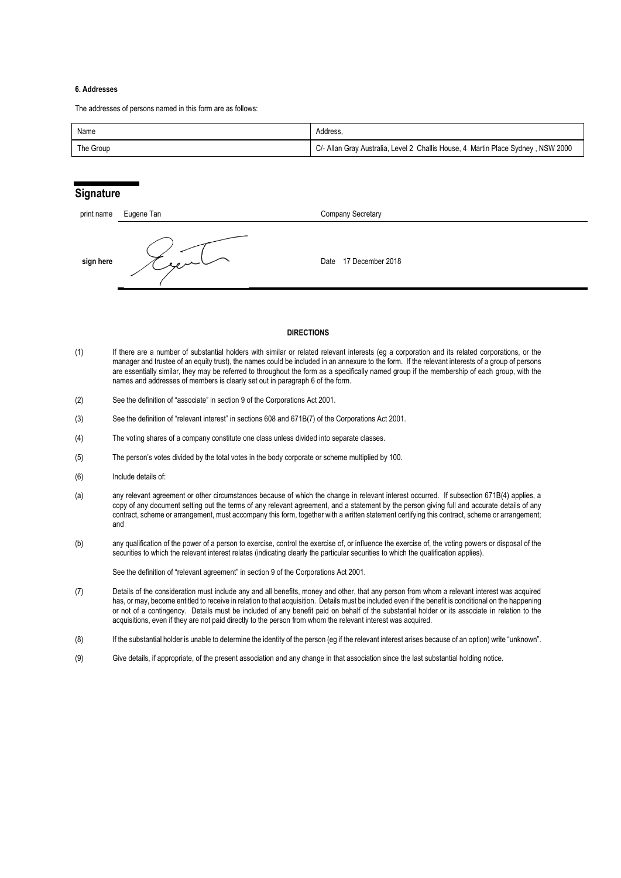#### **6. Addresses**

The addresses of persons named in this form are as follows:

| Name      | Address.                                                                         |
|-----------|----------------------------------------------------------------------------------|
| The Group | C/- Allan Gray Australia, Level 2 Challis House, 4 Martin Place Sydney, NSW 2000 |

## **Signature**

| print name | Eugene Tan | Company Secretary        |
|------------|------------|--------------------------|
| sign here  | بالمدجور   | 17 December 2018<br>Date |

#### **DIRECTIONS**

- (1) If there are a number of substantial holders with similar or related relevant interests (eg a corporation and its related corporations, or the manager and trustee of an equity trust), the names could be included in an annexure to the form. If the relevant interests of a group of persons are essentially similar, they may be referred to throughout the form as a specifically named group if the membership of each group, with the names and addresses of members is clearly set out in paragraph 6 of the form.
- (2) See the definition of "associate" in section 9 of the Corporations Act 2001.
- (3) See the definition of "relevant interest" in sections 608 and 671B(7) of the Corporations Act 2001.
- (4) The voting shares of a company constitute one class unless divided into separate classes.
- (5) The person's votes divided by the total votes in the body corporate or scheme multiplied by 100.
- (6) Include details of:
- (a) any relevant agreement or other circumstances because of which the change in relevant interest occurred. If subsection 671B(4) applies, a copy of any document setting out the terms of any relevant agreement, and a statement by the person giving full and accurate details of any contract, scheme or arrangement, must accompany this form, together with a written statement certifying this contract, scheme or arrangement; and
- (b) any qualification of the power of a person to exercise, control the exercise of, or influence the exercise of, the voting powers or disposal of the securities to which the relevant interest relates (indicating clearly the particular securities to which the qualification applies).

See the definition of "relevant agreement" in section 9 of the Corporations Act 2001.

- (7) Details of the consideration must include any and all benefits, money and other, that any person from whom a relevant interest was acquired has, or may, become entitled to receive in relation to that acquisition. Details must be included even if the benefit is conditional on the happening or not of a contingency. Details must be included of any benefit paid on behalf of the substantial holder or its associate in relation to the acquisitions, even if they are not paid directly to the person from whom the relevant interest was acquired.
- (8) If the substantial holder is unable to determine the identity of the person (eg if the relevant interest arises because of an option) write "unknown".
- (9) Give details, if appropriate, of the present association and any change in that association since the last substantial holding notice.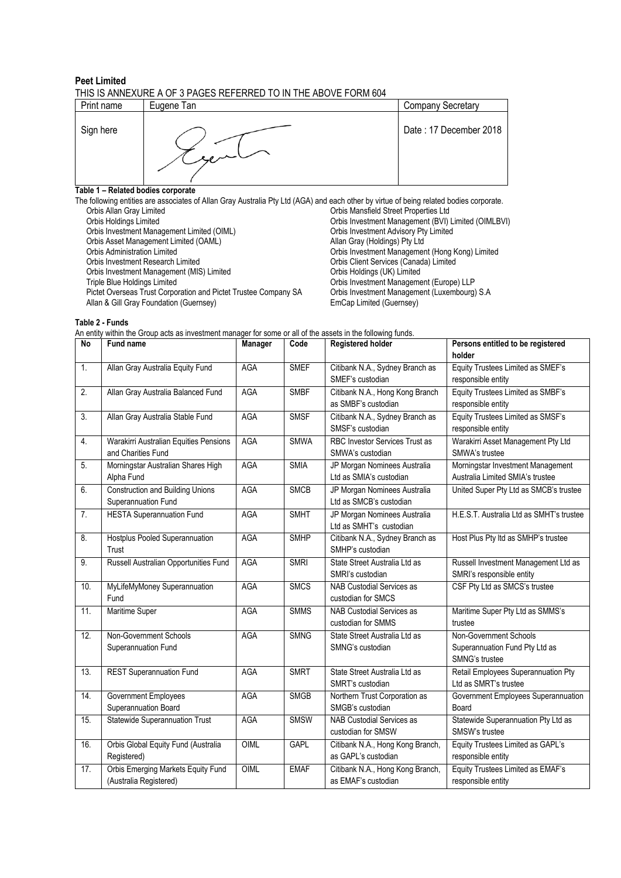#### **Peet Limited** THIS IS ANNEXURE A OF 3 PAGES REFERRED TO IN THE ABOVE FORM 604

| Print name | Eugene Tan | <b>Company Secretary</b> |  |  |  |  |  |
|------------|------------|--------------------------|--|--|--|--|--|
| Sign here  |            | Date: 17 December 2018   |  |  |  |  |  |

## **Table 1 – Related bodies corporate**

The following entities are associates of Allan Gray Australia Pty Ltd (AGA) and each other by virtue of being related bodies corporate.<br>Orbis Allan Gray Limited Critics are associates of Allan Gray Australia Pty Ltd (AGA) Orbis Mansfield Street Properties Ltd Orbis Holdings Limited **Orbis Investment Management (BVI)** Limited (OIMLBVI) Orbis Investment Management Limited (OIML) Crbis Investment Advisory Pty Limited<br>
Orbis Asset Management Limited (OAML) Allan Gray (Holdings) Pty Ltd Orbis Asset Management Limited (OAML) Orbis Administration Limited<br>
Orbis Investment Nanagement (Hong Kong) Limited<br>
Orbis Investment Research Limited<br>
Orbis Client Services (Canada) Limited **Orbis Client Services (Canada) Limited Orbis Holdings (UK) Limited** Orbis Investment Management (MIS) Limited<br>Triple Blue Holdings Limited Triple Bluestment Management (Europe) LLP<br>Orbis Investment Management (Luxembourg) S.A Pictet Overseas Trust Corporation and Pictet Trustee Company SA Orbis Investment Management Management (Guernsey) S. Allan & Gill Gray Foundation (Guernsey)

**Table 2 - Funds**

| An entity within the Group acts as investment manager for some or all of the assets in the following funds. |  |
|-------------------------------------------------------------------------------------------------------------|--|
|-------------------------------------------------------------------------------------------------------------|--|

| No  | <b>Fund name</b>                        | Manager    | Code        | <b>Registered holder</b>              | Persons entitled to be registered        |
|-----|-----------------------------------------|------------|-------------|---------------------------------------|------------------------------------------|
|     |                                         |            |             |                                       | holder                                   |
| 1.  | Allan Gray Australia Equity Fund        | <b>AGA</b> | <b>SMEF</b> | Citibank N.A., Sydney Branch as       | Equity Trustees Limited as SMEF's        |
|     |                                         |            |             | SMEF's custodian                      | responsible entity                       |
| 2.  | Allan Gray Australia Balanced Fund      | AGA        | <b>SMBF</b> | Citibank N.A., Hong Kong Branch       | Equity Trustees Limited as SMBF's        |
|     |                                         |            |             | as SMBF's custodian                   | responsible entity                       |
| 3.  | Allan Gray Australia Stable Fund        | AGA        | <b>SMSF</b> | Citibank N.A., Sydney Branch as       | Equity Trustees Limited as SMSF's        |
|     |                                         |            |             | SMSF's custodian                      | responsible entity                       |
| 4.  | Warakirri Australian Equities Pensions  | AGA        | <b>SMWA</b> | <b>RBC Investor Services Trust as</b> | Warakirri Asset Management Pty Ltd       |
|     | and Charities Fund                      |            |             | SMWA's custodian                      | SMWA's trustee                           |
| 5.  | Morningstar Australian Shares High      | AGA        | <b>SMIA</b> | JP Morgan Nominees Australia          | Morningstar Investment Management        |
|     | Alpha Fund                              |            |             | Ltd as SMIA's custodian               | Australia Limited SMIA's trustee         |
| 6.  | <b>Construction and Building Unions</b> | AGA        | <b>SMCB</b> | JP Morgan Nominees Australia          | United Super Pty Ltd as SMCB's trustee   |
|     | Superannuation Fund                     |            |             | Ltd as SMCB's custodian               |                                          |
| 7.  | <b>HESTA Superannuation Fund</b>        | AGA        | <b>SMHT</b> | JP Morgan Nominees Australia          | H.E.S.T. Australia Ltd as SMHT's trustee |
|     |                                         |            |             | Ltd as SMHT's custodian               |                                          |
| 8.  | Hostplus Pooled Superannuation          | AGA        | <b>SMHP</b> | Citibank N.A., Sydney Branch as       | Host Plus Pty Itd as SMHP's trustee      |
|     | Trust                                   |            |             | SMHP's custodian                      |                                          |
| 9.  | Russell Australian Opportunities Fund   | AGA        | <b>SMRI</b> | State Street Australia Ltd as         | Russell Investment Management Ltd as     |
|     |                                         |            |             | SMRI's custodian                      | SMRI's responsible entity                |
| 10. | MyLifeMyMoney Superannuation            | <b>AGA</b> | <b>SMCS</b> | NAB Custodial Services as             | CSF Pty Ltd as SMCS's trustee            |
|     | Fund                                    |            |             | custodian for SMCS                    |                                          |
| 11. | Maritime Super                          | AGA        | <b>SMMS</b> | NAB Custodial Services as             | Maritime Super Pty Ltd as SMMS's         |
|     |                                         |            |             | custodian for SMMS                    | trustee                                  |
| 12. | Non-Government Schools                  | AGA        | <b>SMNG</b> | State Street Australia Ltd as         | Non-Government Schools                   |
|     | Superannuation Fund                     |            |             | SMNG's custodian                      | Superannuation Fund Pty Ltd as           |
|     |                                         |            |             |                                       | SMNG's trustee                           |
| 13. | <b>REST Superannuation Fund</b>         | <b>AGA</b> | <b>SMRT</b> | State Street Australia Ltd as         | Retail Employees Superannuation Pty      |
|     |                                         |            |             | SMRT's custodian                      | Ltd as SMRT's trustee                    |
| 14. | Government Employees                    | <b>AGA</b> | <b>SMGB</b> | Northern Trust Corporation as         | Government Employees Superannuation      |
|     | Superannuation Board                    |            |             | SMGB's custodian                      | Board                                    |
| 15. | <b>Statewide Superannuation Trust</b>   | <b>AGA</b> | <b>SMSW</b> | <b>NAB Custodial Services as</b>      | Statewide Superannuation Pty Ltd as      |
|     |                                         |            |             | custodian for SMSW                    | SMSW's trustee                           |
| 16. | Orbis Global Equity Fund (Australia     | OIML       | <b>GAPL</b> | Citibank N.A., Hong Kong Branch,      | Equity Trustees Limited as GAPL's        |
|     | Registered)                             |            |             | as GAPL's custodian                   | responsible entity                       |
| 17. | Orbis Emerging Markets Equity Fund      | OIML       | <b>EMAF</b> | Citibank N.A., Hong Kong Branch,      | Equity Trustees Limited as EMAF's        |
|     | (Australia Registered)                  |            |             | as EMAF's custodian                   | responsible entity                       |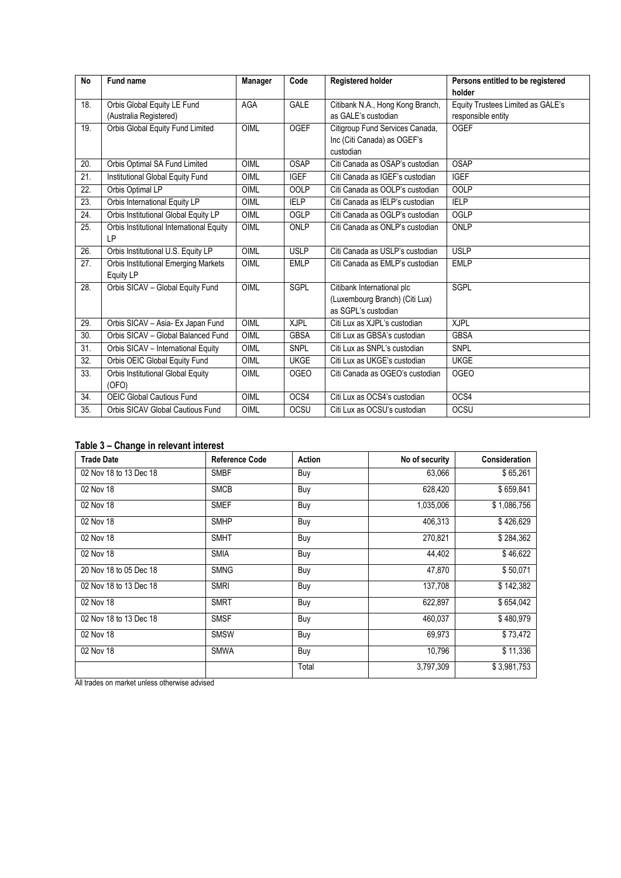| <b>No</b>         | Fund name                                   | <b>Manager</b> | Code        | <b>Registered holder</b>         | Persons entitled to be registered |
|-------------------|---------------------------------------------|----------------|-------------|----------------------------------|-----------------------------------|
|                   |                                             |                |             |                                  | holder                            |
| 18.               | Orbis Global Equity LE Fund                 | <b>AGA</b>     | <b>GALE</b> | Citibank N.A., Hong Kong Branch, | Equity Trustees Limited as GALE's |
|                   | (Australia Registered)                      |                |             | as GALE's custodian              | responsible entity                |
| 19.               | Orbis Global Equity Fund Limited            | OIML           | <b>OGEF</b> | Citigroup Fund Services Canada,  | <b>OGEF</b>                       |
|                   |                                             |                |             | Inc (Citi Canada) as OGEF's      |                                   |
|                   |                                             |                |             | custodian                        |                                   |
| 20.               | Orbis Optimal SA Fund Limited               | OIML           | <b>OSAP</b> | Citi Canada as OSAP's custodian  | <b>OSAP</b>                       |
| 21.               | Institutional Global Equity Fund            | OIML           | <b>IGEF</b> | Citi Canada as IGEF's custodian  | <b>IGEF</b>                       |
| 22.               | Orbis Optimal LP                            | OIML           | <b>OOLP</b> | Citi Canada as OOLP's custodian  | <b>OOLP</b>                       |
| 23.               | Orbis International Equity LP               | OIML           | <b>IELP</b> | Citi Canada as IELP's custodian  | <b>IELP</b>                       |
| $\overline{24}$ . | Orbis Institutional Global Equity LP        | <b>OIML</b>    | OGLP        | Citi Canada as OGLP's custodian  | <b>OGLP</b>                       |
| 25.               | Orbis Institutional International Equity    | OIML           | <b>ONLP</b> | Citi Canada as ONLP's custodian  | ONLP                              |
|                   | LP                                          |                |             |                                  |                                   |
| 26.               | Orbis Institutional U.S. Equity LP          | OIML           | <b>USLP</b> | Citi Canada as USLP's custodian  | <b>USLP</b>                       |
| 27.               | <b>Orbis Institutional Emerging Markets</b> | OIML           | <b>EMLP</b> | Citi Canada as EMLP's custodian  | <b>EMLP</b>                       |
|                   | Equity LP                                   |                |             |                                  |                                   |
| 28.               | Orbis SICAV - Global Equity Fund            | OIML           | SGPL        | Citibank International plc       | SGPL                              |
|                   |                                             |                |             | (Luxembourg Branch) (Citi Lux)   |                                   |
|                   |                                             |                |             | as SGPL's custodian              |                                   |
| 29.               | Orbis SICAV - Asia- Ex Japan Fund           | OIML           | <b>XJPL</b> | Citi Lux as XJPL's custodian     | <b>XJPL</b>                       |
| 30.               | Orbis SICAV - Global Balanced Fund          | OIML           | <b>GBSA</b> | Citi Lux as GBSA's custodian     | <b>GBSA</b>                       |
| 31.               | Orbis SICAV - International Equity          | <b>OIML</b>    | SNPL        | Citi Lux as SNPL's custodian     | <b>SNPL</b>                       |
| 32.               | Orbis OEIC Global Equity Fund               | OIML           | <b>UKGE</b> | Citi Lux as UKGE's custodian     | <b>UKGE</b>                       |
| 33.               | Orbis Institutional Global Equity           | OIML           | <b>OGEO</b> | Citi Canada as OGEO's custodian  | <b>OGEO</b>                       |
|                   | (OFO)                                       |                |             |                                  |                                   |
| 34.               | <b>OEIC Global Cautious Fund</b>            | OIML           | OCS4        | Citi Lux as OCS4's custodian     | OCS4                              |
| 35.               | Orbis SICAV Global Cautious Fund            | OIML           | OCSU        | Citi Lux as OCSU's custodian     | <b>OCSU</b>                       |

## **Table 3 – Change in relevant interest**

| <b>Trade Date</b>      | <b>Reference Code</b> | Action     | No of security | <b>Consideration</b> |
|------------------------|-----------------------|------------|----------------|----------------------|
| 02 Nov 18 to 13 Dec 18 | <b>SMBF</b>           | Buy        | 63,066         | \$65,261             |
| 02 Nov 18              | <b>SMCB</b>           | Buy        | 628,420        | \$659,841            |
| 02 Nov 18              | <b>SMEF</b>           | Buy        | 1,035,006      | \$1,086,756          |
| 02 Nov 18              | <b>SMHP</b>           | <b>Buy</b> | 406,313        | \$426,629            |
| 02 Nov 18              | <b>SMHT</b>           | Buy        | 270,821        | \$284,362            |
| 02 Nov 18              | <b>SMIA</b>           | Buy        | 44,402         | \$46,622             |
| 20 Nov 18 to 05 Dec 18 | <b>SMNG</b>           | Buy        | 47,870         | \$50,071             |
| 02 Nov 18 to 13 Dec 18 | <b>SMRI</b>           | Buy        | 137,708        | \$142,382            |
| 02 Nov 18              | <b>SMRT</b>           | Buy        | 622,897        | \$654,042            |
| 02 Nov 18 to 13 Dec 18 | <b>SMSF</b>           | Buy        | 460,037        | \$480,979            |
| 02 Nov 18              | <b>SMSW</b>           | Buy        | 69,973         | \$73,472             |
| 02 Nov 18              | <b>SMWA</b>           | Buy        | 10,796         | \$11,336             |
|                        |                       | Total      | 3,797,309      | \$3,981,753          |

All trades on market unless otherwise advised